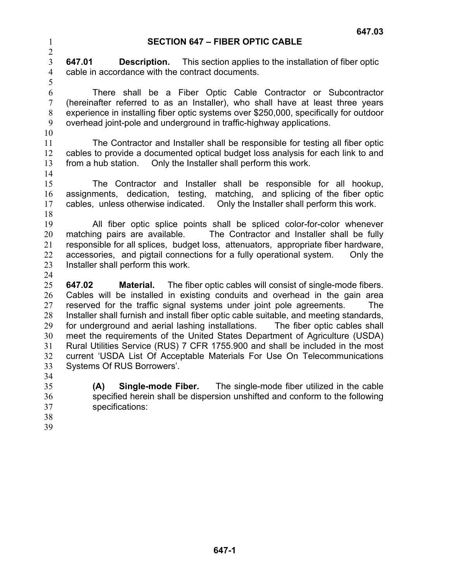## **SECTION 647 – FIBER OPTIC CABLE**

3 4 **647.01 Description.** This section applies to the installation of fiber optic cable in accordance with the contract documents.

6 7 8 9 10 There shall be a Fiber Optic Cable Contractor or Subcontractor (hereinafter referred to as an Installer), who shall have at least three years experience in installing fiber optic systems over \$250,000, specifically for outdoor overhead joint-pole and underground in traffic-highway applications.

11 12 13 The Contractor and Installer shall be responsible for testing all fiber optic cables to provide a documented optical budget loss analysis for each link to and from a hub station. Only the Installer shall perform this work.

14

1 2

5

15 16

17 The Contractor and Installer shall be responsible for all hookup, assignments, dedication, testing, matching, and splicing of the fiber optic cables, unless otherwise indicated. Only the Installer shall perform this work.

18

19 20 21 22 23 24 All fiber optic splice points shall be spliced color-for-color whenever matching pairs are available. The Contractor and Installer shall be fully responsible for all splices, budget loss, attenuators, appropriate fiber hardware, accessories, and pigtail connections for a fully operational system. Only the Installer shall perform this work.

25 26 27 28 29 30 31 32 33 **647.02 Material.** The fiber optic cables will consist of single-mode fibers. Cables will be installed in existing conduits and overhead in the gain area reserved for the traffic signal systems under joint pole agreements. The Installer shall furnish and install fiber optic cable suitable, and meeting standards, for underground and aerial lashing installations. The fiber optic cables shall meet the requirements of the United States Department of Agriculture (USDA) Rural Utilities Service (RUS) 7 CFR 1755.900 and shall be included in the most current 'USDA List Of Acceptable Materials For Use On Telecommunications Systems Of RUS Borrowers'.

34

35 36 37 **(A) Single-mode Fiber.** The single-mode fiber utilized in the cable specified herein shall be dispersion unshifted and conform to the following specifications:

38 39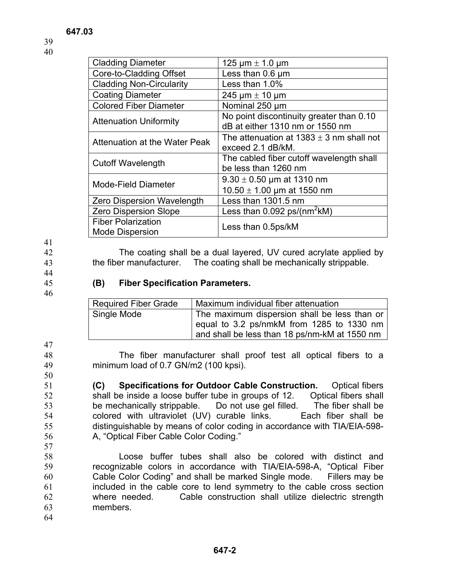| <b>Cladding Diameter</b>          | 125 $\mu$ m $\pm$ 1.0 $\mu$ m                |  |  |
|-----------------------------------|----------------------------------------------|--|--|
| Core-to-Cladding Offset           | Less than 0.6 um                             |  |  |
| <b>Cladding Non-Circularity</b>   | Less than 1.0%                               |  |  |
| <b>Coating Diameter</b>           | 245 $\mu$ m $\pm$ 10 $\mu$ m                 |  |  |
| <b>Colored Fiber Diameter</b>     | Nominal 250 um                               |  |  |
| <b>Attenuation Uniformity</b>     | No point discontinuity greater than 0.10     |  |  |
|                                   | dB at either 1310 nm or 1550 nm              |  |  |
| Attenuation at the Water Peak     | The attenuation at $1383 \pm 3$ nm shall not |  |  |
|                                   | exceed 2.1 dB/kM.                            |  |  |
| <b>Cutoff Wavelength</b>          | The cabled fiber cutoff wavelength shall     |  |  |
|                                   | be less than 1260 nm                         |  |  |
| <b>Mode-Field Diameter</b>        | $9.30 \pm 0.50$ µm at 1310 nm                |  |  |
|                                   | 10.50 $\pm$ 1.00 µm at 1550 nm               |  |  |
| <b>Zero Dispersion Wavelength</b> | Less than 1301.5 nm                          |  |  |
| <b>Zero Dispersion Slope</b>      | Less than $0.092$ ps/(nm <sup>2</sup> kM)    |  |  |
| <b>Fiber Polarization</b>         | Less than 0.5ps/kM                           |  |  |
| <b>Mode Dispersion</b>            |                                              |  |  |

41

42

43 44

45

46

## **(B) Fiber Specification Parameters.**

| <b>Required Fiber Grade</b> | Maximum individual fiber attenuation                                                                                                       |
|-----------------------------|--------------------------------------------------------------------------------------------------------------------------------------------|
| Single Mode                 | The maximum dispersion shall be less than or<br>equal to 3.2 ps/nmkM from 1285 to 1330 nm<br>and shall be less than 18 ps/nm-kM at 1550 nm |

the fiber manufacturer. The coating shall be mechanically strippable.

The coating shall be a dual layered, UV cured acrylate applied by

The fiber manufacturer shall proof test all optical fibers to a minimum load of 0.7 GN/m2 (100 kpsi).

**(C) Specifications for Outdoor Cable Construction.** Optical fibers shall be inside a loose buffer tube in groups of 12. Optical fibers shall be mechanically strippable. Do not use gel filled. The fiber shall be colored with ultraviolet (UV) curable links. Each fiber shall be distinguishable by means of color coding in accordance with TIA/EIA-598- A, "Optical Fiber Cable Color Coding."

58 59 60 61 62 63 Loose buffer tubes shall also be colored with distinct and recognizable colors in accordance with TIA/EIA-598-A, "Optical Fiber Cable Color Coding" and shall be marked Single mode. Fillers may be included in the cable core to lend symmetry to the cable cross section where needed. Cable construction shall utilize dielectric strength members.

64

 **647-2**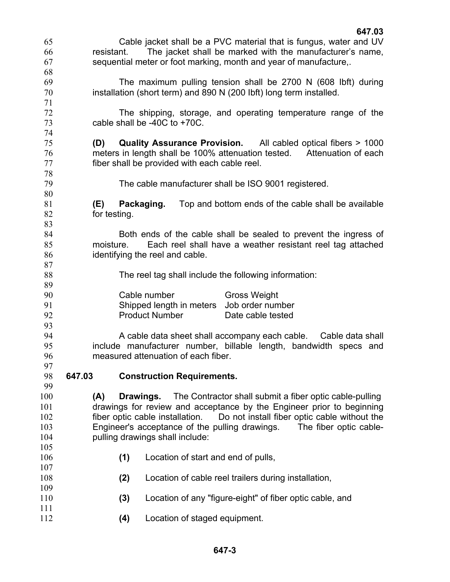| 65         |        |              |                                                       | Cable jacket shall be a PVC material that is fungus, water and UV            |  |
|------------|--------|--------------|-------------------------------------------------------|------------------------------------------------------------------------------|--|
| 66         |        | resistant.   |                                                       | The jacket shall be marked with the manufacturer's name,                     |  |
| 67         |        |              |                                                       | sequential meter or foot marking, month and year of manufacture,.            |  |
| 68         |        |              |                                                       |                                                                              |  |
| 69         |        |              |                                                       | The maximum pulling tension shall be 2700 N (608 lbft) during                |  |
| 70         |        |              |                                                       | installation (short term) and 890 N (200 lbft) long term installed.          |  |
| 71         |        |              |                                                       |                                                                              |  |
| 72         |        |              |                                                       | The shipping, storage, and operating temperature range of the                |  |
| 73         |        |              | cable shall be $-40C$ to $+70C$ .                     |                                                                              |  |
| 74         |        |              |                                                       |                                                                              |  |
| 75         |        |              |                                                       | (D) Quality Assurance Provision. All cabled optical fibers > 1000            |  |
| 76         |        |              |                                                       | meters in length shall be 100% attenuation tested. Attenuation of each       |  |
| 77<br>78   |        |              | fiber shall be provided with each cable reel.         |                                                                              |  |
| 79         |        |              |                                                       | The cable manufacturer shall be ISO 9001 registered.                         |  |
| 80         |        |              |                                                       |                                                                              |  |
| 81         |        | (E)          | Packaging.                                            | Top and bottom ends of the cable shall be available                          |  |
| 82         |        | for testing. |                                                       |                                                                              |  |
| 83         |        |              |                                                       |                                                                              |  |
| 84         |        |              |                                                       | Both ends of the cable shall be sealed to prevent the ingress of             |  |
| 85         |        | moisture.    |                                                       | Each reel shall have a weather resistant reel tag attached                   |  |
| 86         |        |              | identifying the reel and cable.                       |                                                                              |  |
| 87         |        |              |                                                       |                                                                              |  |
| 88         |        |              | The reel tag shall include the following information: |                                                                              |  |
|            |        |              |                                                       |                                                                              |  |
| 89         |        |              |                                                       |                                                                              |  |
| 90         |        |              | Cable number                                          | <b>Gross Weight</b>                                                          |  |
| 91         |        |              | Shipped length in meters                              | Job order number                                                             |  |
| 92         |        |              | <b>Product Number</b>                                 | Date cable tested                                                            |  |
| 93         |        |              |                                                       |                                                                              |  |
| 94         |        |              |                                                       | A cable data sheet shall accompany each cable. Cable data shall              |  |
| 95         |        |              |                                                       | include manufacturer number, billable length, bandwidth specs and            |  |
| 96         |        |              | measured attenuation of each fiber.                   |                                                                              |  |
| 97         |        |              |                                                       |                                                                              |  |
| 98         | 647.03 |              | <b>Construction Requirements.</b>                     |                                                                              |  |
| 99         |        |              |                                                       |                                                                              |  |
| 100        | (A)    | Drawings.    |                                                       | The Contractor shall submit a fiber optic cable-pulling                      |  |
| 101        |        |              |                                                       | drawings for review and acceptance by the Engineer prior to beginning        |  |
| 102        |        |              |                                                       | fiber optic cable installation. Do not install fiber optic cable without the |  |
| 103        |        |              |                                                       | Engineer's acceptance of the pulling drawings. The fiber optic cable-        |  |
| 104        |        |              | pulling drawings shall include:                       |                                                                              |  |
| 105        |        |              |                                                       |                                                                              |  |
| 106<br>107 |        | (1)          |                                                       | Location of start and end of pulls,                                          |  |
| 108        |        | (2)          |                                                       | Location of cable reel trailers during installation,                         |  |
| 109        |        |              |                                                       |                                                                              |  |
| 110        |        | (3)          |                                                       | Location of any "figure-eight" of fiber optic cable, and                     |  |
| 111<br>112 |        | (4)          |                                                       | Location of staged equipment.                                                |  |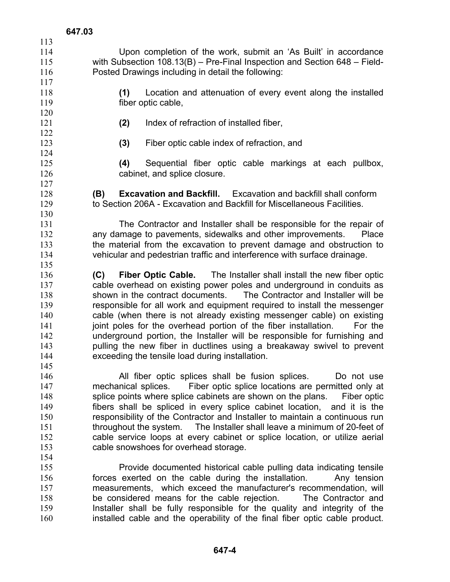| 113        |                                                                                                                                       |
|------------|---------------------------------------------------------------------------------------------------------------------------------------|
| 114        | Upon completion of the work, submit an 'As Built' in accordance                                                                       |
| 115        | with Subsection $108.13(B)$ – Pre-Final Inspection and Section 648 – Field-                                                           |
| 116        | Posted Drawings including in detail the following:                                                                                    |
| 117        |                                                                                                                                       |
| 118        | (1)<br>Location and attenuation of every event along the installed                                                                    |
| 119        | fiber optic cable,                                                                                                                    |
| 120        |                                                                                                                                       |
| 121        | (2)<br>Index of refraction of installed fiber,                                                                                        |
| 122        |                                                                                                                                       |
| 123        | (3)<br>Fiber optic cable index of refraction, and                                                                                     |
| 124        |                                                                                                                                       |
| 125        | Sequential fiber optic cable markings at each pullbox,<br>(4)                                                                         |
| 126        | cabinet, and splice closure.                                                                                                          |
| 127        |                                                                                                                                       |
| 128        | (B)<br><b>Excavation and Backfill.</b> Excavation and backfill shall conform                                                          |
| 129        | to Section 206A - Excavation and Backfill for Miscellaneous Facilities.                                                               |
|            |                                                                                                                                       |
| 130<br>131 |                                                                                                                                       |
|            | The Contractor and Installer shall be responsible for the repair of                                                                   |
| 132        | any damage to pavements, sidewalks and other improvements.<br>Place                                                                   |
| 133        | the material from the excavation to prevent damage and obstruction to                                                                 |
| 134        | vehicular and pedestrian traffic and interference with surface drainage.                                                              |
| 135        |                                                                                                                                       |
| 136<br>137 | <b>Fiber Optic Cable.</b> The Installer shall install the new fiber optic<br>(C)                                                      |
|            |                                                                                                                                       |
|            | cable overhead on existing power poles and underground in conduits as                                                                 |
| 138        | shown in the contract documents. The Contractor and Installer will be                                                                 |
| 139        | responsible for all work and equipment required to install the messenger                                                              |
| 140        | cable (when there is not already existing messenger cable) on existing                                                                |
| 141        | joint poles for the overhead portion of the fiber installation.<br>For the                                                            |
| 142        | underground portion, the Installer will be responsible for furnishing and                                                             |
| 143        | pulling the new fiber in ductlines using a breakaway swivel to prevent                                                                |
| 144        | exceeding the tensile load during installation.                                                                                       |
| 145        |                                                                                                                                       |
| 146        | All fiber optic splices shall be fusion splices.<br>Do not use                                                                        |
| 147        | mechanical splices.<br>Fiber optic splice locations are permitted only at                                                             |
| 148        | splice points where splice cabinets are shown on the plans. Fiber optic                                                               |
| 149        | fibers shall be spliced in every splice cabinet location, and it is the                                                               |
| 150        | responsibility of the Contractor and Installer to maintain a continuous run                                                           |
| 151        | throughout the system. The Installer shall leave a minimum of 20-feet of                                                              |
| 152        | cable service loops at every cabinet or splice location, or utilize aerial                                                            |
| 153        | cable snowshoes for overhead storage.                                                                                                 |
| 154        |                                                                                                                                       |
| 155        | Provide documented historical cable pulling data indicating tensile                                                                   |
| 156        | forces exerted on the cable during the installation.<br>Any tension                                                                   |
| 157<br>158 | measurements, which exceed the manufacturer's recommendation, will<br>be considered means for the cable rejection. The Contractor and |

158 159 160 be considered means for the cable rejection. The Contractor and Installer shall be fully responsible for the quality and integrity of the installed cable and the operability of the final fiber optic cable product.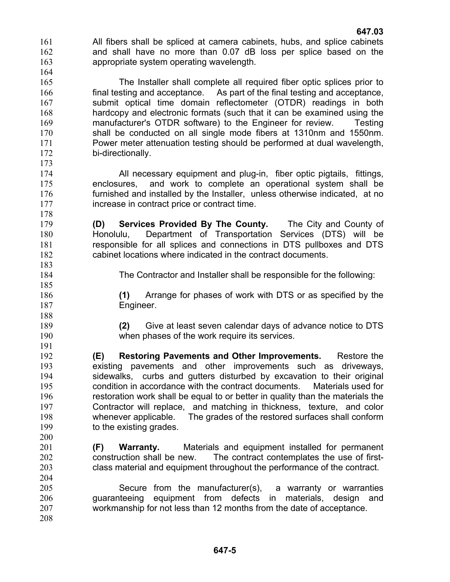- **647.03**  161 162 163 All fibers shall be spliced at camera cabinets, hubs, and splice cabinets and shall have no more than 0.07 dB loss per splice based on the appropriate system operating wavelength.
- 165 166 167 168 169 170 171 172 173 The Installer shall complete all required fiber optic splices prior to final testing and acceptance. As part of the final testing and acceptance, submit optical time domain reflectometer (OTDR) readings in both hardcopy and electronic formats (such that it can be examined using the manufacturer's OTDR software) to the Engineer for review. Testing shall be conducted on all single mode fibers at 1310nm and 1550nm. Power meter attenuation testing should be performed at dual wavelength, bi-directionally.
	- All necessary equipment and plug-in, fiber optic pigtails, fittings, enclosures, and work to complete an operational system shall be furnished and installed by the Installer, unless otherwise indicated, at no increase in contract price or contract time.
	- **(D) Services Provided By The County.** The City and County of Honolulu, Department of Transportation Services (DTS) will be responsible for all splices and connections in DTS pullboxes and DTS cabinet locations where indicated in the contract documents.
- 183 184

200

164

- The Contractor and Installer shall be responsible for the following:
- **(1)** Arrange for phases of work with DTS or as specified by the Engineer.
- **(2)** Give at least seven calendar days of advance notice to DTS when phases of the work require its services.
- 192 193 194 195 196 197 198 199 **(E) Restoring Pavements and Other Improvements.** Restore the existing pavements and other improvements such as driveways, sidewalks, curbs and gutters disturbed by excavation to their original condition in accordance with the contract documents. Materials used for restoration work shall be equal to or better in quality than the materials the Contractor will replace, and matching in thickness, texture, and color whenever applicable. The grades of the restored surfaces shall conform to the existing grades.
- 201 202 203 204 **(F) Warranty.** Materials and equipment installed for permanent construction shall be new. The contract contemplates the use of firstclass material and equipment throughout the performance of the contract.
- 205 206 207 208 Secure from the manufacturer(s), a warranty or warranties guaranteeing equipment from defects in materials, design and workmanship for not less than 12 months from the date of acceptance.